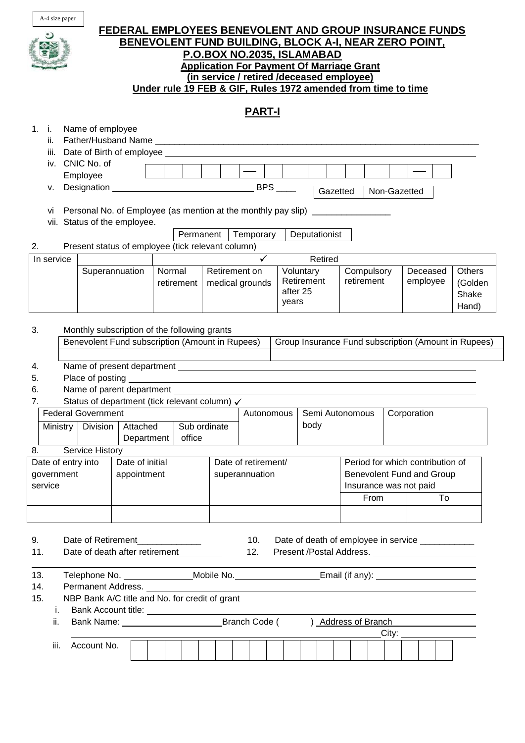

# **FEDERAL EMPLOYEES BENEVOLENT AND GROUP INSURANCE FUNDS BENEVOLENT FUND BUILDING, BLOCK A-I, NEAR ZERO POINT, P.O.BOX NO.2035, ISLAMABAD Application For Payment Of Marriage Grant (in service / retired /deceased employee) Under rule 19 FEB & GIF, Rules 1972 amended from time to time**

# **PART-I**

| 1.                                                                                                          | i.         |          |                                               |                                                                                                     |        |              |                           |               |              |  |            |               |                                                  |                        |    |                                  |          |                                                      |  |
|-------------------------------------------------------------------------------------------------------------|------------|----------|-----------------------------------------------|-----------------------------------------------------------------------------------------------------|--------|--------------|---------------------------|---------------|--------------|--|------------|---------------|--------------------------------------------------|------------------------|----|----------------------------------|----------|------------------------------------------------------|--|
|                                                                                                             | ii.        |          |                                               |                                                                                                     |        |              |                           |               |              |  |            |               |                                                  |                        |    |                                  |          |                                                      |  |
|                                                                                                             |            |          |                                               |                                                                                                     |        |              |                           |               |              |  |            |               |                                                  |                        |    |                                  |          |                                                      |  |
|                                                                                                             |            |          | iv. CNIC No. of                               |                                                                                                     |        |              |                           |               |              |  |            |               |                                                  |                        |    |                                  |          |                                                      |  |
|                                                                                                             |            |          | Employee                                      |                                                                                                     |        |              |                           |               | <b>BPS</b>   |  |            |               |                                                  |                        |    |                                  |          |                                                      |  |
|                                                                                                             | v.         |          |                                               |                                                                                                     |        |              |                           |               |              |  |            | Gazetted      |                                                  |                        |    | Non-Gazetted                     |          |                                                      |  |
|                                                                                                             | VÌ         |          |                                               | Personal No. of Employee (as mention at the monthly pay slip) __________________                    |        |              |                           |               |              |  |            |               |                                                  |                        |    |                                  |          |                                                      |  |
|                                                                                                             |            |          |                                               | vii. Status of the employee.                                                                        |        |              |                           |               |              |  |            |               |                                                  |                        |    |                                  |          |                                                      |  |
|                                                                                                             |            |          |                                               |                                                                                                     |        | Permanent    |                           |               | Temporary    |  |            | Deputationist |                                                  |                        |    |                                  |          |                                                      |  |
| 2.                                                                                                          |            |          |                                               | Present status of employee (tick relevant column)                                                   |        |              |                           |               |              |  |            |               |                                                  |                        |    |                                  |          |                                                      |  |
|                                                                                                             | In service |          |                                               |                                                                                                     |        |              |                           |               | $\checkmark$ |  |            | Retired       |                                                  |                        |    |                                  |          |                                                      |  |
|                                                                                                             |            |          | Superannuation                                |                                                                                                     | Normal |              |                           | Retirement on |              |  | Voluntary  |               |                                                  | Compulsory             |    |                                  | Deceased |                                                      |  |
|                                                                                                             |            |          |                                               |                                                                                                     |        | retirement   | medical grounds           |               |              |  | Retirement |               | retirement                                       |                        |    | employee                         |          | <b>Others</b><br>(Golden                             |  |
|                                                                                                             |            |          |                                               |                                                                                                     |        |              |                           |               |              |  | after 25   |               |                                                  |                        |    |                                  |          | Shake                                                |  |
|                                                                                                             |            |          |                                               |                                                                                                     |        |              |                           |               | years        |  |            |               |                                                  |                        |    |                                  | Hand)    |                                                      |  |
|                                                                                                             |            |          |                                               |                                                                                                     |        |              |                           |               |              |  |            |               |                                                  |                        |    |                                  |          |                                                      |  |
| 3.                                                                                                          |            |          |                                               | Monthly subscription of the following grants                                                        |        |              |                           |               |              |  |            |               |                                                  |                        |    |                                  |          |                                                      |  |
|                                                                                                             |            |          |                                               | Benevolent Fund subscription (Amount in Rupees)                                                     |        |              |                           |               |              |  |            |               |                                                  |                        |    |                                  |          | Group Insurance Fund subscription (Amount in Rupees) |  |
|                                                                                                             |            |          |                                               |                                                                                                     |        |              |                           |               |              |  |            |               |                                                  |                        |    |                                  |          |                                                      |  |
| 4.                                                                                                          |            |          |                                               |                                                                                                     |        |              |                           |               |              |  |            |               |                                                  |                        |    |                                  |          |                                                      |  |
| 5.                                                                                                          |            |          | Place of posting<br>Name of parent department |                                                                                                     |        |              |                           |               |              |  |            |               |                                                  |                        |    |                                  |          |                                                      |  |
| 6.                                                                                                          |            |          |                                               |                                                                                                     |        |              |                           |               |              |  |            |               |                                                  |                        |    |                                  |          |                                                      |  |
| 7.                                                                                                          |            |          |                                               | Status of department (tick relevant column) √                                                       |        |              |                           |               |              |  |            |               |                                                  |                        |    |                                  |          |                                                      |  |
|                                                                                                             |            |          | <b>Federal Government</b>                     |                                                                                                     |        |              |                           |               | Autonomous   |  |            |               | Semi Autonomous                                  |                        |    | Corporation                      |          |                                                      |  |
|                                                                                                             |            | Ministry | Division                                      | Attached                                                                                            |        | Sub ordinate |                           |               |              |  | body       |               |                                                  |                        |    |                                  |          |                                                      |  |
|                                                                                                             |            |          |                                               | Department                                                                                          |        | office       |                           |               |              |  |            |               |                                                  |                        |    |                                  |          |                                                      |  |
| 8.                                                                                                          |            |          | Service History                               |                                                                                                     |        |              |                           |               |              |  |            |               |                                                  |                        |    |                                  |          |                                                      |  |
|                                                                                                             |            |          |                                               |                                                                                                     |        |              |                           |               |              |  |            |               |                                                  |                        |    | Period for which contribution of |          |                                                      |  |
| Date of initial<br>Date of entry into<br>Date of retirement/<br>government<br>appointment<br>superannuation |            |          |                                               |                                                                                                     |        |              | Benevolent Fund and Group |               |              |  |            |               |                                                  |                        |    |                                  |          |                                                      |  |
| service                                                                                                     |            |          |                                               |                                                                                                     |        |              |                           |               |              |  |            |               |                                                  | Insurance was not paid |    |                                  |          |                                                      |  |
|                                                                                                             |            |          |                                               |                                                                                                     |        |              |                           |               |              |  |            | From          |                                                  |                        | To |                                  |          |                                                      |  |
|                                                                                                             |            |          |                                               |                                                                                                     |        |              |                           |               |              |  |            |               |                                                  |                        |    |                                  |          |                                                      |  |
|                                                                                                             |            |          |                                               |                                                                                                     |        |              |                           |               |              |  |            |               |                                                  |                        |    |                                  |          |                                                      |  |
| 9.                                                                                                          |            |          | Date of Retirement                            |                                                                                                     |        |              |                           | 10.           |              |  |            |               | Date of death of employee in service ___________ |                        |    |                                  |          |                                                      |  |
| 11.                                                                                                         |            |          |                                               | Date of death after retirement                                                                      |        |              |                           | 12.           |              |  |            |               |                                                  |                        |    |                                  |          |                                                      |  |
|                                                                                                             |            |          |                                               |                                                                                                     |        |              |                           |               |              |  |            |               |                                                  |                        |    |                                  |          |                                                      |  |
| 13.                                                                                                         |            |          |                                               | Telephone No. ________________Mobile No.______________________Email (if any): _____________________ |        |              |                           |               |              |  |            |               |                                                  |                        |    |                                  |          |                                                      |  |
| 14.                                                                                                         |            |          |                                               |                                                                                                     |        |              |                           |               |              |  |            |               |                                                  |                        |    |                                  |          |                                                      |  |
| 15.                                                                                                         |            |          |                                               | NBP Bank A/C title and No. for credit of grant                                                      |        |              |                           |               |              |  |            |               |                                                  |                        |    |                                  |          |                                                      |  |
|                                                                                                             | i.         |          |                                               |                                                                                                     |        |              |                           |               |              |  |            |               |                                                  |                        |    |                                  |          |                                                      |  |
|                                                                                                             | ii.        |          |                                               |                                                                                                     |        |              |                           |               |              |  |            |               | ) Address of Branch                              |                        |    |                                  |          |                                                      |  |
| City:                                                                                                       |            |          |                                               |                                                                                                     |        |              |                           |               |              |  |            |               |                                                  |                        |    |                                  |          |                                                      |  |
|                                                                                                             | iii.       |          | Account No.                                   |                                                                                                     |        |              |                           |               |              |  |            |               |                                                  |                        |    |                                  |          |                                                      |  |
|                                                                                                             |            |          |                                               |                                                                                                     |        |              |                           |               |              |  |            |               |                                                  |                        |    |                                  |          |                                                      |  |